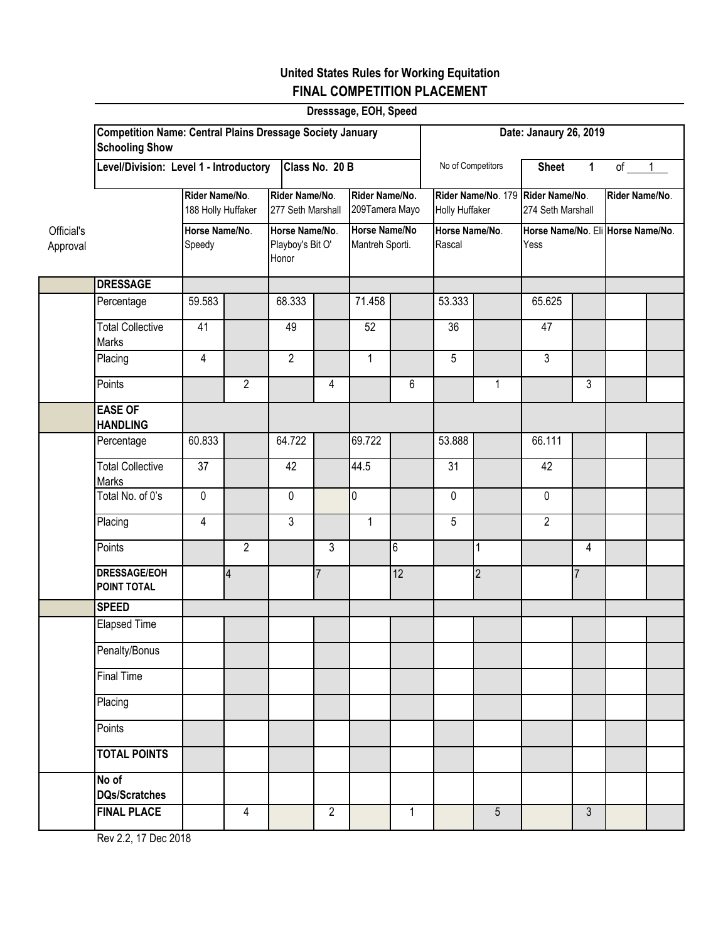## **United States Rules for Working Equitation FINAL COMPETITION PLACEMENT**

|                        | Dresssage, EOH, Speed                                                                     |                                      |                |                                             |                |                                         |              |                                                     |                 |                                           |                |                |  |  |
|------------------------|-------------------------------------------------------------------------------------------|--------------------------------------|----------------|---------------------------------------------|----------------|-----------------------------------------|--------------|-----------------------------------------------------|-----------------|-------------------------------------------|----------------|----------------|--|--|
|                        | <b>Competition Name: Central Plains Dressage Society January</b><br><b>Schooling Show</b> |                                      |                |                                             |                |                                         |              | Date: Janaury 26, 2019                              |                 |                                           |                |                |  |  |
|                        | Class No. 20 B<br>Level/Division: Level 1 - Introductory                                  |                                      |                |                                             |                |                                         |              | No of Competitors                                   |                 | <b>Sheet</b>                              | $\mathbf{1}$   | $of \t1$       |  |  |
|                        |                                                                                           | Rider Name/No.<br>188 Holly Huffaker |                | Rider Name/No.<br>277 Seth Marshall         |                | Rider Name/No.<br>209Tamera Mayo        |              | Rider Name/No. 179 Rider Name/No.<br>Holly Huffaker |                 | 274 Seth Marshall                         |                | Rider Name/No. |  |  |
| Official's<br>Approval | Horse Name/No.<br>Speedy                                                                  |                                      |                | Horse Name/No.<br>Playboy's Bit O'<br>Honor |                | <b>Horse Name/No</b><br>Mantreh Sporti. |              | Horse Name/No.<br>Rascal                            |                 | Horse Name/No. Eli Horse Name/No.<br>Yess |                |                |  |  |
|                        | <b>DRESSAGE</b>                                                                           |                                      |                |                                             |                |                                         |              |                                                     |                 |                                           |                |                |  |  |
|                        | Percentage                                                                                | 59.583                               |                | 68.333                                      |                | 71.458                                  |              | 53.333                                              |                 | 65.625                                    |                |                |  |  |
|                        | <b>Total Collective</b><br>Marks                                                          | 41                                   |                | 49                                          |                | 52                                      |              | 36                                                  |                 | 47                                        |                |                |  |  |
|                        | Placing                                                                                   | 4                                    |                | $\overline{2}$                              |                | $\mathbf{1}$                            |              | 5                                                   |                 | $\mathfrak{Z}$                            |                |                |  |  |
|                        | Points                                                                                    |                                      | $\overline{2}$ |                                             | 4              |                                         | 6            |                                                     | $\mathbf{1}$    |                                           | 3              |                |  |  |
|                        | <b>EASE OF</b><br><b>HANDLING</b>                                                         |                                      |                |                                             |                |                                         |              |                                                     |                 |                                           |                |                |  |  |
|                        | Percentage                                                                                | 60.833                               |                | 64.722                                      |                | 69.722                                  |              | 53.888                                              |                 | 66.111                                    |                |                |  |  |
|                        | <b>Total Collective</b><br>Marks                                                          | 37                                   |                | 42                                          |                | 44.5                                    |              | $\overline{31}$                                     |                 | 42                                        |                |                |  |  |
|                        | Total No. of 0's                                                                          | $\mathbf 0$                          |                | $\mathbf 0$                                 |                | $\overline{0}$                          |              | 0                                                   |                 | $\mathbf 0$                               |                |                |  |  |
|                        | Placing                                                                                   | 4                                    |                | $\overline{3}$                              |                | $\mathbf{1}$                            |              | 5                                                   |                 | $\overline{2}$                            |                |                |  |  |
|                        | Points                                                                                    |                                      | $\overline{2}$ |                                             | 3              |                                         | 6            |                                                     | 1               |                                           | 4              |                |  |  |
|                        | <b>DRESSAGE/EOH</b><br><b>POINT TOTAL</b>                                                 |                                      | $\overline{4}$ |                                             | $\overline{7}$ |                                         | 12           |                                                     | $\overline{2}$  |                                           | $\overline{7}$ |                |  |  |
|                        | <b>SPEED</b>                                                                              |                                      |                |                                             |                |                                         |              |                                                     |                 |                                           |                |                |  |  |
|                        | <b>Elapsed Time</b>                                                                       |                                      |                |                                             |                |                                         |              |                                                     |                 |                                           |                |                |  |  |
|                        | Penalty/Bonus                                                                             |                                      |                |                                             |                |                                         |              |                                                     |                 |                                           |                |                |  |  |
|                        | <b>Final Time</b>                                                                         |                                      |                |                                             |                |                                         |              |                                                     |                 |                                           |                |                |  |  |
|                        | Placing                                                                                   |                                      |                |                                             |                |                                         |              |                                                     |                 |                                           |                |                |  |  |
|                        | Points                                                                                    |                                      |                |                                             |                |                                         |              |                                                     |                 |                                           |                |                |  |  |
|                        | <b>TOTAL POINTS</b>                                                                       |                                      |                |                                             |                |                                         |              |                                                     |                 |                                           |                |                |  |  |
|                        | No of<br><b>DQs/Scratches</b>                                                             |                                      |                |                                             |                |                                         |              |                                                     |                 |                                           |                |                |  |  |
|                        | <b>FINAL PLACE</b>                                                                        |                                      | $\overline{4}$ |                                             | $\overline{2}$ |                                         | $\mathbf{1}$ |                                                     | $5\overline{)}$ |                                           | $\mathfrak{Z}$ |                |  |  |

Rev 2.2, 17 Dec 2018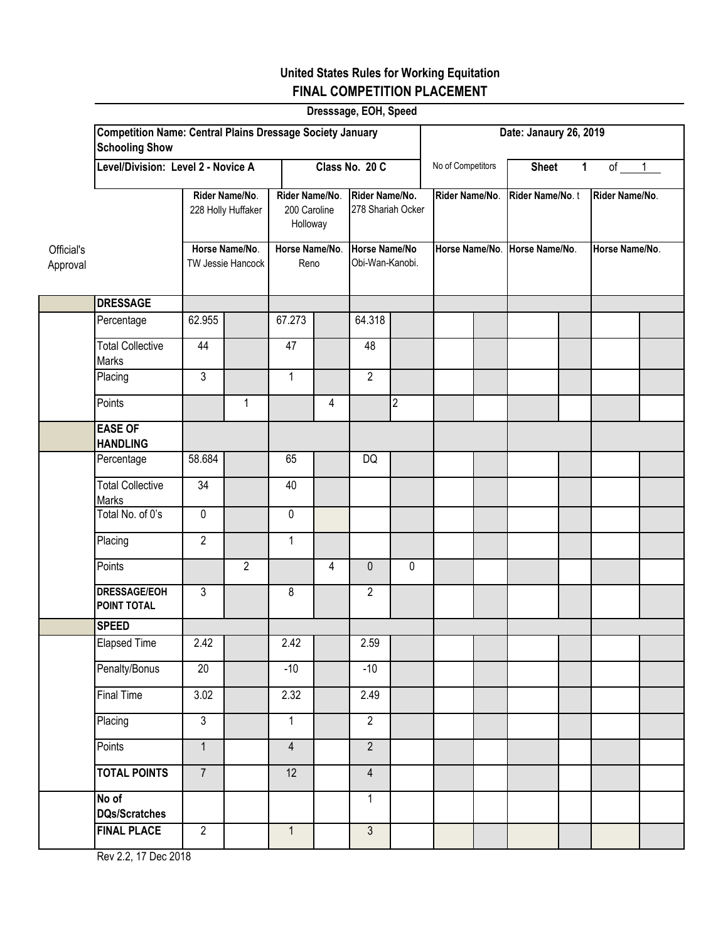## **United States Rules for Working Equitation FINAL COMPETITION PLACEMENT**

|                        |                                                                                           |                                  |                                      |                                            |                        | Dresssage, EOH, Speed               |                                  |                        |  |                 |                               |                |                |  |
|------------------------|-------------------------------------------------------------------------------------------|----------------------------------|--------------------------------------|--------------------------------------------|------------------------|-------------------------------------|----------------------------------|------------------------|--|-----------------|-------------------------------|----------------|----------------|--|
|                        | <b>Competition Name: Central Plains Dressage Society January</b><br><b>Schooling Show</b> |                                  |                                      |                                            |                        |                                     |                                  | Date: Janaury 26, 2019 |  |                 |                               |                |                |  |
|                        | Level/Division: Level 2 - Novice A                                                        |                                  |                                      | Class No. 20 C                             |                        |                                     |                                  | No of Competitors      |  | <b>Sheet</b>    | $\mathbf{1}$                  | of $1$         |                |  |
|                        |                                                                                           |                                  | Rider Name/No.<br>228 Holly Huffaker | Rider Name/No.<br>200 Caroline<br>Holloway |                        | Rider Name/No.<br>278 Shariah Ocker |                                  | Rider Name/No.         |  | Rider Name/No.t |                               | Rider Name/No. |                |  |
| Official's<br>Approval |                                                                                           |                                  | Horse Name/No.<br>TW Jessie Hancock  |                                            | Horse Name/No.<br>Reno |                                     | Horse Name/No<br>Obi-Wan-Kanobi. |                        |  |                 | Horse Name/No. Horse Name/No. |                | Horse Name/No. |  |
|                        | <b>DRESSAGE</b>                                                                           |                                  |                                      |                                            |                        |                                     |                                  |                        |  |                 |                               |                |                |  |
|                        | Percentage                                                                                | 62.955                           |                                      | 67.273                                     |                        | 64.318                              |                                  |                        |  |                 |                               |                |                |  |
|                        | <b>Total Collective</b><br>Marks                                                          | 44                               |                                      | 47                                         |                        | 48                                  |                                  |                        |  |                 |                               |                |                |  |
|                        | Placing                                                                                   | $\mathfrak{Z}$                   |                                      | 1                                          |                        | $\overline{2}$                      |                                  |                        |  |                 |                               |                |                |  |
|                        | Points                                                                                    |                                  | $\mathbf{1}$                         |                                            | 4                      |                                     | $\overline{2}$                   |                        |  |                 |                               |                |                |  |
|                        | <b>EASE OF</b><br><b>HANDLING</b>                                                         |                                  |                                      |                                            |                        |                                     |                                  |                        |  |                 |                               |                |                |  |
|                        | Percentage                                                                                | 58.684                           |                                      | 65                                         |                        | DQ                                  |                                  |                        |  |                 |                               |                |                |  |
|                        | <b>Total Collective</b><br>Marks                                                          | $\overline{34}$                  |                                      | 40                                         |                        |                                     |                                  |                        |  |                 |                               |                |                |  |
|                        | Total No. of 0's                                                                          | $\pmb{0}$                        |                                      | $\pmb{0}$                                  |                        |                                     |                                  |                        |  |                 |                               |                |                |  |
|                        | Placing                                                                                   | $\overline{2}$                   |                                      | $\mathbf{1}$                               |                        |                                     |                                  |                        |  |                 |                               |                |                |  |
|                        | Points                                                                                    |                                  | $\overline{2}$                       |                                            | 4                      | $\mathbf 0$                         | 0                                |                        |  |                 |                               |                |                |  |
|                        | <b>DRESSAGE/EOH</b><br>POINT TOTAL                                                        | $\mathfrak{Z}$                   |                                      | 8                                          |                        | $\overline{2}$                      |                                  |                        |  |                 |                               |                |                |  |
|                        | <b>SPEED</b>                                                                              |                                  |                                      |                                            |                        |                                     |                                  |                        |  |                 |                               |                |                |  |
|                        | <b>Elapsed Time</b>                                                                       | 2.42                             |                                      | 2.42                                       |                        | 2.59                                |                                  |                        |  |                 |                               |                |                |  |
|                        | Penalty/Bonus                                                                             | $\overline{20}$                  |                                      | $-10$                                      |                        | $-10$                               |                                  |                        |  |                 |                               |                |                |  |
|                        | <b>Final Time</b>                                                                         | $\overline{3.02}$                |                                      | 2.32                                       |                        | 2.49                                |                                  |                        |  |                 |                               |                |                |  |
|                        | Placing                                                                                   | $\overline{3}$<br>$\overline{1}$ |                                      | $\mathbf{1}$                               |                        | $\overline{2}$<br>$\overline{2}$    |                                  |                        |  |                 |                               |                |                |  |
|                        | Points<br><b>TOTAL POINTS</b>                                                             | $\overline{7}$                   |                                      | $\overline{4}$<br>12                       |                        | $\overline{4}$                      |                                  |                        |  |                 |                               |                |                |  |
|                        | No of                                                                                     |                                  |                                      |                                            |                        | $\mathbf{1}$                        |                                  |                        |  |                 |                               |                |                |  |
|                        | <b>DQs/Scratches</b>                                                                      |                                  |                                      |                                            |                        |                                     |                                  |                        |  |                 |                               |                |                |  |
|                        | <b>FINAL PLACE</b>                                                                        | $\overline{2}$                   |                                      | $\mathbf{1}$                               |                        | $\mathbf{3}$                        |                                  |                        |  |                 |                               |                |                |  |

Rev 2.2, 17 Dec 2018